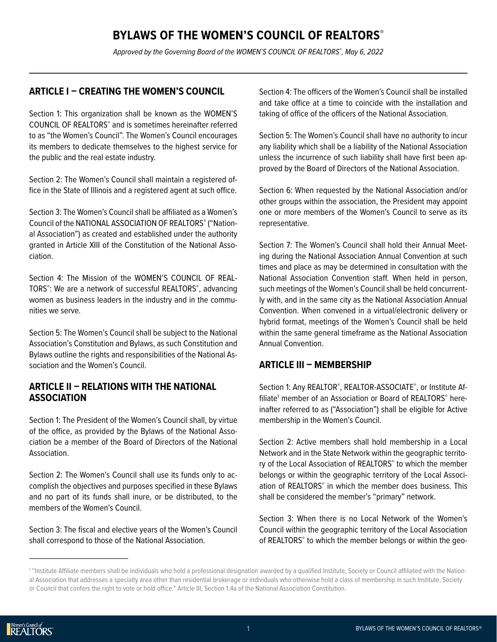# **BYLAWS OF THE WOMEN'S COUNCIL OF REALTORS®**

*Approved by the Governing Board of the WOMEN'S COUNCIL OF REALTORS® , May 6, 2022*

### **ARTICLE I – CREATING THE WOMEN'S COUNCIL**

Section 1: This organization shall be known as the WOMEN'S COUNCIL OF REALTORS<sup>®</sup> and is sometimes hereinafter referred to as "the Women's Council". The Women's Council encourages its members to dedicate themselves to the highest service for the public and the real estate industry.

Section 2: The Women's Council shall maintain a registered office in the State of Illinois and a registered agent at such office.

Section 3: The Women's Council shall be affiliated as a Women's Council of the NATIONAL ASSOCIATION OF REALTORS® ("National Association") as created and established under the authority granted in Article XIII of the Constitution of the National Association.

Section 4: The Mission of the WOMEN'S COUNCIL OF REAL-TORS® : We are a network of successful REALTORS® , advancing women as business leaders in the industry and in the communities we serve.

Section 5: The Women's Council shall be subject to the National Association's Constitution and Bylaws, as such Constitution and Bylaws outline the rights and responsibilities of the National Association and the Women's Council.

### **ARTICLE II – RELATIONS WITH THE NATIONAL ASSOCIATION**

Section 1: The President of the Women's Council shall, by virtue of the office, as provided by the Bylaws of the National Association be a member of the Board of Directors of the National Association.

Section 2: The Women's Council shall use its funds only to accomplish the objectives and purposes specified in these Bylaws and no part of its funds shall inure, or be distributed, to the members of the Women's Council.

Section 3: The fiscal and elective years of the Women's Council shall correspond to those of the National Association.

Section 4: The officers of the Women's Council shall be installed and take office at a time to coincide with the installation and taking of office of the officers of the National Association.

Section 5: The Women's Council shall have no authority to incur any liability which shall be a liability of the National Association unless the incurrence of such liability shall have first been approved by the Board of Directors of the National Association.

Section 6: When requested by the National Association and/or other groups within the association, the President may appoint one or more members of the Women's Council to serve as its representative.

Section 7: The Women's Council shall hold their Annual Meeting during the National Association Annual Convention at such times and place as may be determined in consultation with the National Association Convention staff. When held in person, such meetings of the Women's Council shall be held concurrently with, and in the same city as the National Association Annual Convention. When convened in a virtual/electronic delivery or hybrid format, meetings of the Women's Council shall be held within the same general timeframe as the National Association Annual Convention.

### **ARTICLE III – MEMBERSHIP**

Section 1: Any REALTOR®, REALTOR-ASSOCIATE®, or Institute Affiliate<sup>1</sup> member of an Association or Board of REALTORS® hereinafter referred to as ("Association") shall be eligible for Active membership in the Women's Council.

Section 2: Active members shall hold membership in a Local Network and in the State Network within the geographic territory of the Local Association of REALTORS® to which the member belongs or within the geographic territory of the Local Association of REALTORS® in which the member does business. This shall be considered the member's "primary" network.

Section 3: When there is no Local Network of the Women's Council within the geographic territory of the Local Association of REALTORS<sup>®</sup> to which the member belongs or within the geo-

<sup>1</sup> "Institute Affiliate members shall be individuals who hold a professional designation awarded by a qualified Institute, Society or Council affiliated with the National Association that addresses a specialty area other than residential brokerage or individuals who otherwise hold a class of membership in such Institute, Society or Council that confers the right to vote or hold office." Article III, Section 1.4a of the National Association Constitution.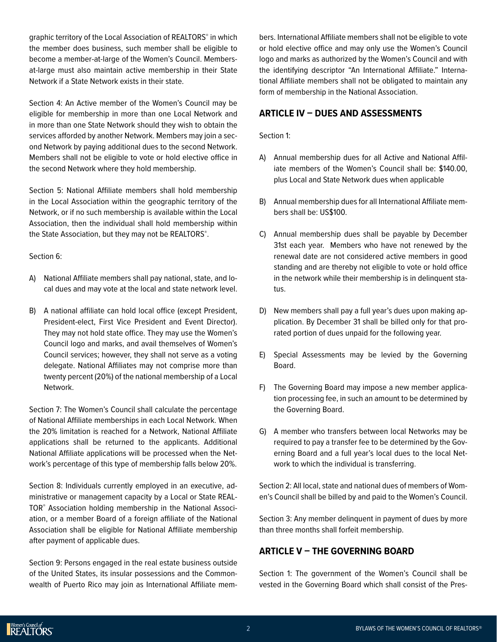graphic territory of the Local Association of REALTORS® in which the member does business, such member shall be eligible to become a member-at-large of the Women's Council. Membersat-large must also maintain active membership in their State Network if a State Network exists in their state.

Section 4: An Active member of the Women's Council may be eligible for membership in more than one Local Network and in more than one State Network should they wish to obtain the services afforded by another Network. Members may join a second Network by paying additional dues to the second Network. Members shall not be eligible to vote or hold elective office in the second Network where they hold membership.

Section 5: National Affiliate members shall hold membership in the Local Association within the geographic territory of the Network, or if no such membership is available within the Local Association, then the individual shall hold membership within the State Association, but they may not be REALTORS®.

Section 6:

- A) National Affiliate members shall pay national, state, and local dues and may vote at the local and state network level.
- B) A national affiliate can hold local office (except President, President-elect, First Vice President and Event Director). They may not hold state office. They may use the Women's Council logo and marks, and avail themselves of Women's Council services; however, they shall not serve as a voting delegate. National Affiliates may not comprise more than twenty percent (20%) of the national membership of a Local Network.

Section 7: The Women's Council shall calculate the percentage of National Affiliate memberships in each Local Network. When the 20% limitation is reached for a Network, National Affiliate applications shall be returned to the applicants. Additional National Affiliate applications will be processed when the Network's percentage of this type of membership falls below 20%.

Section 8: Individuals currently employed in an executive, administrative or management capacity by a Local or State REAL-TOR® Association holding membership in the National Association, or a member Board of a foreign affiliate of the National Association shall be eligible for National Affiliate membership after payment of applicable dues.

Section 9: Persons engaged in the real estate business outside of the United States, its insular possessions and the Commonwealth of Puerto Rico may join as International Affiliate mem-

bers. International Affiliate members shall not be eligible to vote or hold elective office and may only use the Women's Council logo and marks as authorized by the Women's Council and with the identifying descriptor "An International Affiliate." International Affiliate members shall not be obligated to maintain any form of membership in the National Association.

# **ARTICLE IV – DUES AND ASSESSMENTS**

Section 1:

- A) Annual membership dues for all Active and National Affiliate members of the Women's Council shall be: \$140.00, plus Local and State Network dues when applicable
- B) Annual membership dues for all International Affiliate members shall be: US\$100.
- C) Annual membership dues shall be payable by December 31st each year. Members who have not renewed by the renewal date are not considered active members in good standing and are thereby not eligible to vote or hold office in the network while their membership is in delinquent status.
- D) New members shall pay a full year's dues upon making application. By December 31 shall be billed only for that prorated portion of dues unpaid for the following year.
- E) Special Assessments may be levied by the Governing Board.
- F) The Governing Board may impose a new member application processing fee, in such an amount to be determined by the Governing Board.
- G) A member who transfers between local Networks may be required to pay a transfer fee to be determined by the Governing Board and a full year's local dues to the local Network to which the individual is transferring.

Section 2: All local, state and national dues of members of Women's Council shall be billed by and paid to the Women's Council.

Section 3: Any member delinquent in payment of dues by more than three months shall forfeit membership.

# **ARTICLE V – THE GOVERNING BOARD**

Section 1: The government of the Women's Council shall be vested in the Governing Board which shall consist of the Pres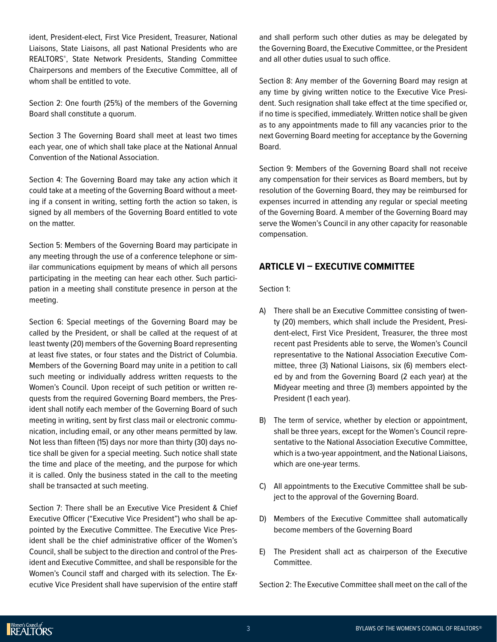ident, President-elect, First Vice President, Treasurer, National Liaisons, State Liaisons, all past National Presidents who are REALTORS® , State Network Presidents, Standing Committee Chairpersons and members of the Executive Committee, all of whom shall be entitled to vote.

Section 2: One fourth (25%) of the members of the Governing Board shall constitute a quorum.

Section 3 The Governing Board shall meet at least two times each year, one of which shall take place at the National Annual Convention of the National Association.

Section 4: The Governing Board may take any action which it could take at a meeting of the Governing Board without a meeting if a consent in writing, setting forth the action so taken, is signed by all members of the Governing Board entitled to vote on the matter.

Section 5: Members of the Governing Board may participate in any meeting through the use of a conference telephone or similar communications equipment by means of which all persons participating in the meeting can hear each other. Such participation in a meeting shall constitute presence in person at the meeting.

Section 6: Special meetings of the Governing Board may be called by the President, or shall be called at the request of at least twenty (20) members of the Governing Board representing at least five states, or four states and the District of Columbia. Members of the Governing Board may unite in a petition to call such meeting or individually address written requests to the Women's Council. Upon receipt of such petition or written requests from the required Governing Board members, the President shall notify each member of the Governing Board of such meeting in writing, sent by first class mail or electronic communication, including email, or any other means permitted by law. Not less than fifteen (15) days nor more than thirty (30) days notice shall be given for a special meeting. Such notice shall state the time and place of the meeting, and the purpose for which it is called. Only the business stated in the call to the meeting shall be transacted at such meeting.

Section 7: There shall be an Executive Vice President & Chief Executive Officer ("Executive Vice President") who shall be appointed by the Executive Committee. The Executive Vice President shall be the chief administrative officer of the Women's Council, shall be subject to the direction and control of the President and Executive Committee, and shall be responsible for the Women's Council staff and charged with its selection. The Executive Vice President shall have supervision of the entire staff

and shall perform such other duties as may be delegated by the Governing Board, the Executive Committee, or the President and all other duties usual to such office.

Section 8: Any member of the Governing Board may resign at any time by giving written notice to the Executive Vice President. Such resignation shall take effect at the time specified or, if no time is specified, immediately. Written notice shall be given as to any appointments made to fill any vacancies prior to the next Governing Board meeting for acceptance by the Governing Board.

Section 9: Members of the Governing Board shall not receive any compensation for their services as Board members, but by resolution of the Governing Board, they may be reimbursed for expenses incurred in attending any regular or special meeting of the Governing Board. A member of the Governing Board may serve the Women's Council in any other capacity for reasonable compensation.

### **ARTICLE VI – EXECUTIVE COMMITTEE**

Section 1:

- A) There shall be an Executive Committee consisting of twenty (20) members, which shall include the President, President-elect, First Vice President, Treasurer, the three most recent past Presidents able to serve, the Women's Council representative to the National Association Executive Committee, three (3) National Liaisons, six (6) members elected by and from the Governing Board (2 each year) at the Midyear meeting and three (3) members appointed by the President (1 each year).
- B) The term of service, whether by election or appointment, shall be three years, except for the Women's Council representative to the National Association Executive Committee, which is a two-year appointment, and the National Liaisons, which are one-year terms.
- C) All appointments to the Executive Committee shall be subject to the approval of the Governing Board.
- D) Members of the Executive Committee shall automatically become members of the Governing Board
- E) The President shall act as chairperson of the Executive Committee.

Section 2: The Executive Committee shall meet on the call of the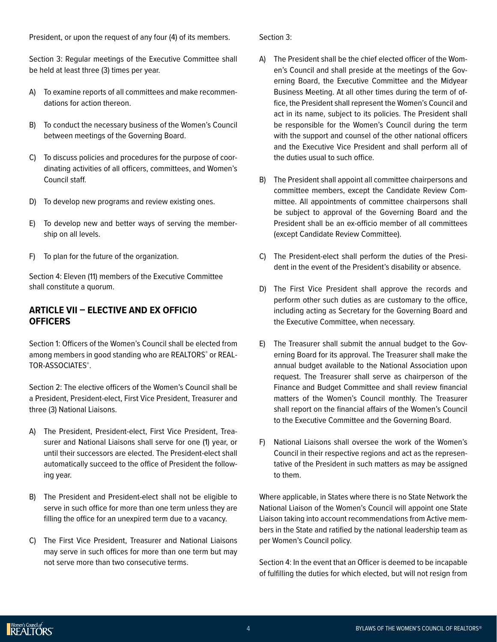President, or upon the request of any four (4) of its members.

Section 3: Regular meetings of the Executive Committee shall be held at least three (3) times per year.

- A) To examine reports of all committees and make recommendations for action thereon.
- B) To conduct the necessary business of the Women's Council between meetings of the Governing Board.
- C) To discuss policies and procedures for the purpose of coordinating activities of all officers, committees, and Women's Council staff.
- D) To develop new programs and review existing ones.
- E) To develop new and better ways of serving the membership on all levels.
- F) To plan for the future of the organization.

Section 4: Eleven (11) members of the Executive Committee shall constitute a quorum.

### **ARTICLE VII – ELECTIVE AND EX OFFICIO OFFICERS**

Section 1: Officers of the Women's Council shall be elected from among members in good standing who are REALTORS® or REAL-TOR-ASSOCIATES<sup>®</sup>.

Section 2: The elective officers of the Women's Council shall be a President, President-elect, First Vice President, Treasurer and three (3) National Liaisons.

- A) The President, President-elect, First Vice President, Treasurer and National Liaisons shall serve for one (1) year, or until their successors are elected. The President-elect shall automatically succeed to the office of President the following year.
- B) The President and President-elect shall not be eligible to serve in such office for more than one term unless they are filling the office for an unexpired term due to a vacancy.
- C) The First Vice President, Treasurer and National Liaisons may serve in such offices for more than one term but may not serve more than two consecutive terms.

Section 3:

- A) The President shall be the chief elected officer of the Women's Council and shall preside at the meetings of the Governing Board, the Executive Committee and the Midyear Business Meeting. At all other times during the term of office, the President shall represent the Women's Council and act in its name, subject to its policies. The President shall be responsible for the Women's Council during the term with the support and counsel of the other national officers and the Executive Vice President and shall perform all of the duties usual to such office.
- B) The President shall appoint all committee chairpersons and committee members, except the Candidate Review Committee. All appointments of committee chairpersons shall be subject to approval of the Governing Board and the President shall be an ex-officio member of all committees (except Candidate Review Committee).
- C) The President-elect shall perform the duties of the President in the event of the President's disability or absence.
- D) The First Vice President shall approve the records and perform other such duties as are customary to the office, including acting as Secretary for the Governing Board and the Executive Committee, when necessary.
- E) The Treasurer shall submit the annual budget to the Governing Board for its approval. The Treasurer shall make the annual budget available to the National Association upon request. The Treasurer shall serve as chairperson of the Finance and Budget Committee and shall review financial matters of the Women's Council monthly. The Treasurer shall report on the financial affairs of the Women's Council to the Executive Committee and the Governing Board.
- F) National Liaisons shall oversee the work of the Women's Council in their respective regions and act as the representative of the President in such matters as may be assigned to them.

Where applicable, in States where there is no State Network the National Liaison of the Women's Council will appoint one State Liaison taking into account recommendations from Active members in the State and ratified by the national leadership team as per Women's Council policy.

Section 4: In the event that an Officer is deemed to be incapable of fulfilling the duties for which elected, but will not resign from

Women's Council of<br>REALTORS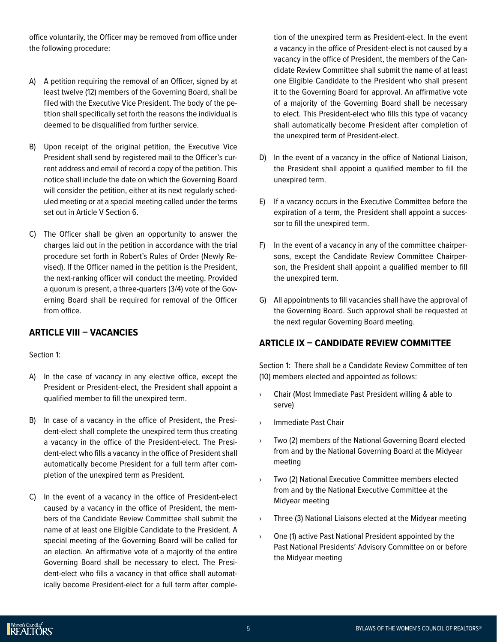office voluntarily, the Officer may be removed from office under the following procedure:

- A) A petition requiring the removal of an Officer, signed by at least twelve (12) members of the Governing Board, shall be filed with the Executive Vice President. The body of the petition shall specifically set forth the reasons the individual is deemed to be disqualified from further service.
- B) Upon receipt of the original petition, the Executive Vice President shall send by registered mail to the Officer's current address and email of record a copy of the petition. This notice shall include the date on which the Governing Board will consider the petition, either at its next regularly scheduled meeting or at a special meeting called under the terms set out in Article V Section 6.
- C) The Officer shall be given an opportunity to answer the charges laid out in the petition in accordance with the trial procedure set forth in Robert's Rules of Order (Newly Revised). If the Officer named in the petition is the President, the next-ranking officer will conduct the meeting. Provided a quorum is present, a three-quarters (3/4) vote of the Governing Board shall be required for removal of the Officer from office.

# **ARTICLE VIII – VACANCIES**

Section 1:

- A) In the case of vacancy in any elective office, except the President or President-elect, the President shall appoint a qualified member to fill the unexpired term.
- B) In case of a vacancy in the office of President, the President-elect shall complete the unexpired term thus creating a vacancy in the office of the President-elect. The President-elect who fills a vacancy in the office of President shall automatically become President for a full term after completion of the unexpired term as President.
- C) In the event of a vacancy in the office of President-elect caused by a vacancy in the office of President, the members of the Candidate Review Committee shall submit the name of at least one Eligible Candidate to the President. A special meeting of the Governing Board will be called for an election. An affirmative vote of a majority of the entire Governing Board shall be necessary to elect. The President-elect who fills a vacancy in that office shall automatically become President-elect for a full term after comple-

tion of the unexpired term as President-elect. In the event a vacancy in the office of President-elect is not caused by a vacancy in the office of President, the members of the Candidate Review Committee shall submit the name of at least one Eligible Candidate to the President who shall present it to the Governing Board for approval. An affirmative vote of a majority of the Governing Board shall be necessary to elect. This President-elect who fills this type of vacancy shall automatically become President after completion of the unexpired term of President-elect.

- D) In the event of a vacancy in the office of National Liaison, the President shall appoint a qualified member to fill the unexpired term.
- E) If a vacancy occurs in the Executive Committee before the expiration of a term, the President shall appoint a successor to fill the unexpired term.
- F) In the event of a vacancy in any of the committee chairpersons, except the Candidate Review Committee Chairperson, the President shall appoint a qualified member to fill the unexpired term.
- G) All appointments to fill vacancies shall have the approval of the Governing Board. Such approval shall be requested at the next regular Governing Board meeting.

# **ARTICLE IX – CANDIDATE REVIEW COMMITTEE**

Section 1: There shall be a Candidate Review Committee of ten (10) members elected and appointed as follows:

- › Chair (Most Immediate Past President willing & able to serve)
- › Immediate Past Chair
- › Two (2) members of the National Governing Board elected from and by the National Governing Board at the Midyear meeting
- Two (2) National Executive Committee members elected from and by the National Executive Committee at the Midyear meeting
- › Three (3) National Liaisons elected at the Midyear meeting
- › One (1) active Past National President appointed by the Past National Presidents' Advisory Committee on or before the Midyear meeting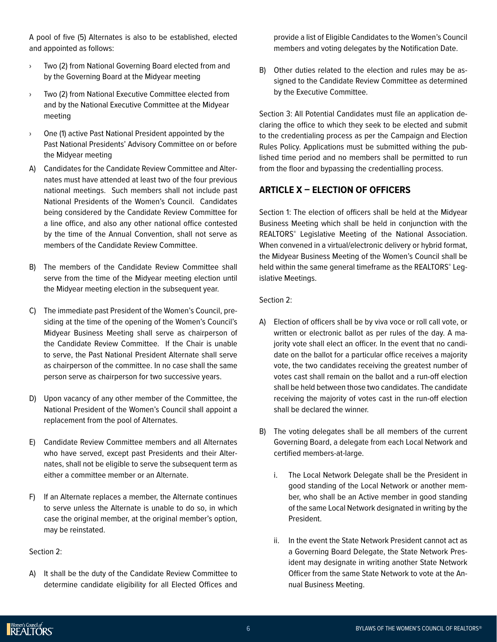A pool of five (5) Alternates is also to be established, elected and appointed as follows:

- › Two (2) from National Governing Board elected from and by the Governing Board at the Midyear meeting
- › Two (2) from National Executive Committee elected from and by the National Executive Committee at the Midyear meeting
- › One (1) active Past National President appointed by the Past National Presidents' Advisory Committee on or before the Midyear meeting
- A) Candidates for the Candidate Review Committee and Alternates must have attended at least two of the four previous national meetings. Such members shall not include past National Presidents of the Women's Council. Candidates being considered by the Candidate Review Committee for a line office, and also any other national office contested by the time of the Annual Convention, shall not serve as members of the Candidate Review Committee.
- B) The members of the Candidate Review Committee shall serve from the time of the Midyear meeting election until the Midyear meeting election in the subsequent year.
- C) The immediate past President of the Women's Council, presiding at the time of the opening of the Women's Council's Midyear Business Meeting shall serve as chairperson of the Candidate Review Committee. If the Chair is unable to serve, the Past National President Alternate shall serve as chairperson of the committee. In no case shall the same person serve as chairperson for two successive years.
- D) Upon vacancy of any other member of the Committee, the National President of the Women's Council shall appoint a replacement from the pool of Alternates.
- E) Candidate Review Committee members and all Alternates who have served, except past Presidents and their Alternates, shall not be eligible to serve the subsequent term as either a committee member or an Alternate.
- F) If an Alternate replaces a member, the Alternate continues to serve unless the Alternate is unable to do so, in which case the original member, at the original member's option, may be reinstated.

Section 2:

A) It shall be the duty of the Candidate Review Committee to determine candidate eligibility for all Elected Offices and

provide a list of Eligible Candidates to the Women's Council members and voting delegates by the Notification Date.

B) Other duties related to the election and rules may be assigned to the Candidate Review Committee as determined by the Executive Committee.

Section 3: All Potential Candidates must file an application declaring the office to which they seek to be elected and submit to the credentialing process as per the Campaign and Election Rules Policy. Applications must be submitted withing the published time period and no members shall be permitted to run from the floor and bypassing the credentialling process.

### **ARTICLE X – ELECTION OF OFFICERS**

Section 1: The election of officers shall be held at the Midyear Business Meeting which shall be held in conjunction with the REALTORS® Legislative Meeting of the National Association. When convened in a virtual/electronic delivery or hybrid format, the Midyear Business Meeting of the Women's Council shall be held within the same general timeframe as the REALTORS® Legislative Meetings.

Section 2:

- A) Election of officers shall be by viva voce or roll call vote, or written or electronic ballot as per rules of the day. A majority vote shall elect an officer. In the event that no candidate on the ballot for a particular office receives a majority vote, the two candidates receiving the greatest number of votes cast shall remain on the ballot and a run-off election shall be held between those two candidates. The candidate receiving the majority of votes cast in the run-off election shall be declared the winner.
- B) The voting delegates shall be all members of the current Governing Board, a delegate from each Local Network and certified members-at-large.
	- i. The Local Network Delegate shall be the President in good standing of the Local Network or another member, who shall be an Active member in good standing of the same Local Network designated in writing by the President.
	- ii. In the event the State Network President cannot act as a Governing Board Delegate, the State Network President may designate in writing another State Network Officer from the same State Network to vote at the Annual Business Meeting.

Nomen's Council of<br>REALTORS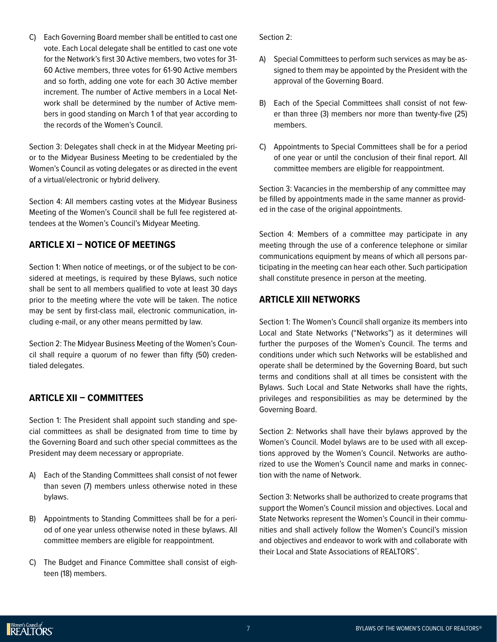C) Each Governing Board member shall be entitled to cast one vote. Each Local delegate shall be entitled to cast one vote for the Network's first 30 Active members, two votes for 31- 60 Active members, three votes for 61-90 Active members and so forth, adding one vote for each 30 Active member increment. The number of Active members in a Local Network shall be determined by the number of Active members in good standing on March 1 of that year according to the records of the Women's Council.

Section 3: Delegates shall check in at the Midyear Meeting prior to the Midyear Business Meeting to be credentialed by the Women's Council as voting delegates or as directed in the event of a virtual/electronic or hybrid delivery.

Section 4: All members casting votes at the Midyear Business Meeting of the Women's Council shall be full fee registered attendees at the Women's Council's Midyear Meeting.

### **ARTICLE XI – NOTICE OF MEETINGS**

Section 1: When notice of meetings, or of the subject to be considered at meetings, is required by these Bylaws, such notice shall be sent to all members qualified to vote at least 30 days prior to the meeting where the vote will be taken. The notice may be sent by first-class mail, electronic communication, including e-mail, or any other means permitted by law.

Section 2: The Midyear Business Meeting of the Women's Council shall require a quorum of no fewer than fifty (50) credentialed delegates.

# **ARTICLE XII – COMMITTEES**

Section 1: The President shall appoint such standing and special committees as shall be designated from time to time by the Governing Board and such other special committees as the President may deem necessary or appropriate.

- A) Each of the Standing Committees shall consist of not fewer than seven (7) members unless otherwise noted in these bylaws.
- B) Appointments to Standing Committees shall be for a period of one year unless otherwise noted in these bylaws. All committee members are eligible for reappointment.
- C) The Budget and Finance Committee shall consist of eighteen (18) members.

Section 2:

- A) Special Committees to perform such services as may be assigned to them may be appointed by the President with the approval of the Governing Board.
- B) Each of the Special Committees shall consist of not fewer than three (3) members nor more than twenty-five (25) members.
- C) Appointments to Special Committees shall be for a period of one year or until the conclusion of their final report. All committee members are eligible for reappointment.

Section 3: Vacancies in the membership of any committee may be filled by appointments made in the same manner as provided in the case of the original appointments.

Section 4: Members of a committee may participate in any meeting through the use of a conference telephone or similar communications equipment by means of which all persons participating in the meeting can hear each other. Such participation shall constitute presence in person at the meeting.

# **ARTICLE XIII NETWORKS**

Section 1: The Women's Council shall organize its members into Local and State Networks ("Networks") as it determines will further the purposes of the Women's Council. The terms and conditions under which such Networks will be established and operate shall be determined by the Governing Board, but such terms and conditions shall at all times be consistent with the Bylaws. Such Local and State Networks shall have the rights, privileges and responsibilities as may be determined by the Governing Board.

Section 2: Networks shall have their bylaws approved by the Women's Council. Model bylaws are to be used with all exceptions approved by the Women's Council. Networks are authorized to use the Women's Council name and marks in connection with the name of Network.

Section 3: Networks shall be authorized to create programs that support the Women's Council mission and objectives. Local and State Networks represent the Women's Council in their communities and shall actively follow the Women's Council's mission and objectives and endeavor to work with and collaborate with their Local and State Associations of REALTORS® .